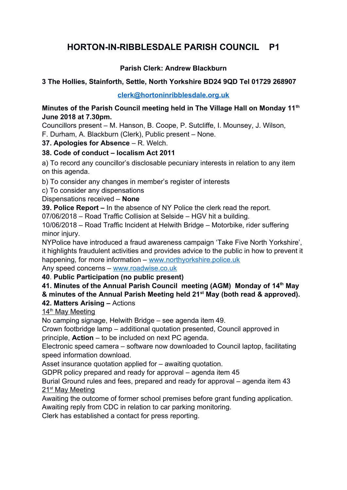# **HORTON-IN-RIBBLESDALE PARISH COUNCIL P1**

# **Parish Clerk: Andrew Blackburn**

## **3 The Hollies, Stainforth, Settle, North Yorkshire BD24 9QD Tel 01729 268907**

**[clerk@hortoninribblesdale.org.uk](mailto:clerk@hortoninribblesdale.org.uk)**

#### **Minutes of the Parish Council meeting held in The Village Hall on Monday 11th June 2018 at 7.30pm.**

Councillors present – M. Hanson, B. Coope, P. Sutcliffe, I. Mounsey, J. Wilson, F. Durham, A. Blackburn (Clerk), Public present – None.

## **37. Apologies for Absence** – R. Welch.

## **38. Code of conduct – localism Act 2011**

a) To record any councillor's disclosable pecuniary interests in relation to any item on this agenda.

b) To consider any changes in member's register of interests

c) To consider any dispensations

#### Dispensations received – **None**

**39. Police Report –** In the absence of NY Police the clerk read the report.

07/06/2018 – Road Traffic Collision at Selside – HGV hit a building.

10/06/2018 – Road Traffic Incident at Helwith Bridge – Motorbike, rider suffering minor injury.

NYPolice have introduced a fraud awareness campaign 'Take Five North Yorkshire', it highlights fraudulent activities and provides advice to the public in how to prevent it happening, for more information – [www.northyorkshire.police.uk](http://www.northyorkshire.police.uk/)

Any speed concerns – [www.roadwise.co.uk](http://www.roadwise.co.uk/) 

## **40**. **Public Participation (no public present)**

# **41. Minutes of the Annual Parish Council meeting (AGM) Monday of 14th May**

**& minutes of the Annual Parish Meeting held 21st May (both read & approved).** 

## **42. Matters Arising –** Actions

## 14<sup>th</sup> May Meeting

No camping signage, Helwith Bridge – see agenda item 49.

Crown footbridge lamp – additional quotation presented, Council approved in principle, **Action** – to be included on next PC agenda.

Electronic speed camera – software now downloaded to Council laptop, facilitating speed information download.

Asset insurance quotation applied for – awaiting quotation.

GDPR policy prepared and ready for approval – agenda item 45

Burial Ground rules and fees, prepared and ready for approval – agenda item 43 21<sup>st</sup> May Meeting

Awaiting the outcome of former school premises before grant funding application.

Awaiting reply from CDC in relation to car parking monitoring.

Clerk has established a contact for press reporting.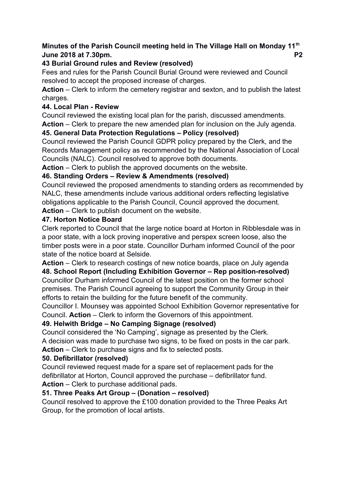# **Minutes of the Parish Council meeting held in The Village Hall on Monday 11th June 2018 at 7.30pm. P2**

## **43 Burial Ground rules and Review (resolved)**

Fees and rules for the Parish Council Burial Ground were reviewed and Council resolved to accept the proposed increase of charges.

**Action** – Clerk to inform the cemetery registrar and sexton, and to publish the latest charges.

## **44. Local Plan - Review**

Council reviewed the existing local plan for the parish, discussed amendments.

**Action** – Clerk to prepare the new amended plan for inclusion on the July agenda.

# **45. General Data Protection Regulations – Policy (resolved)**

Council reviewed the Parish Council GDPR policy prepared by the Clerk, and the Records Management policy as recommended by the National Association of Local Councils (NALC). Council resolved to approve both documents.

**Action** – Clerk to publish the approved documents on the website.

# **46. Standing Orders – Review & Amendments (resolved)**

Council reviewed the proposed amendments to standing orders as recommended by NALC, these amendments include various additional orders reflecting legislative obligations applicable to the Parish Council, Council approved the document. **Action** – Clerk to publish document on the website.

## **47. Horton Notice Board**

Clerk reported to Council that the large notice board at Horton in Ribblesdale was in a poor state, with a lock proving inoperative and perspex screen loose, also the timber posts were in a poor state. Councillor Durham informed Council of the poor state of the notice board at Selside.

**Action** – Clerk to research costings of new notice boards, place on July agenda **48. School Report (Including Exhibition Governor – Rep position-resolved)** Councillor Durham informed Council of the latest position on the former school premises. The Parish Council agreeing to support the Community Group in their

efforts to retain the building for the future benefit of the community.

Councillor I. Mounsey was appointed School Exhibition Governor representative for Council. **Action** – Clerk to inform the Governors of this appointment.

# **49. Helwith Bridge – No Camping Signage (resolved)**

Council considered the 'No Camping', signage as presented by the Clerk.

A decision was made to purchase two signs, to be fixed on posts in the car park.

**Action** – Clerk to purchase signs and fix to selected posts.

## **50. Defibrillator (resolved)**

Council reviewed request made for a spare set of replacement pads for the defibrillator at Horton, Council approved the purchase – defibrillator fund.

**Action** – Clerk to purchase additional pads.

# **51. Three Peaks Art Group – (Donation – resolved)**

Council resolved to approve the £100 donation provided to the Three Peaks Art Group, for the promotion of local artists.